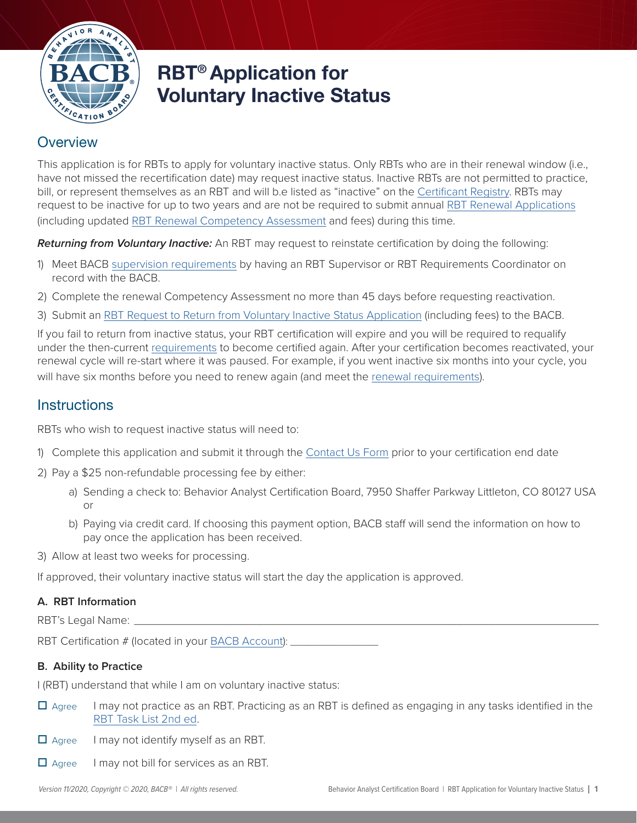

# RBT® Application for Voluntary Inactive Status

# **Overview**

This application is for RBTs to apply for voluntary inactive status. Only RBTs who are in their renewal window (i.e., have not missed the recertification date) may request inactive status. Inactive RBTs are not permitted to practice, bill, or represent themselves as an RBT and will b.e listed as "inactive" on the [Certificant Registry](https://www.bacb.com/services/o.php?page=101127). RBTs may request to be inactive for up to two years and are not be required to submit annual [RBT Renewal Application](https://www.bacb.com/wp-content/RBT-Renewal-Application)s (including updated RBT Renewal C[ompetency Assessment](http:///wp-content/RBT-Renewal-Competency-Assessment 2019) and fees) during this time.

*Returning from Voluntary Inactive:* An RBT may request to reinstate certification by doing the following:

- 1) Meet BACB [supervision requirements](https://www.bacb.com/wp-content/Supervision-Training-Curriculum-Outline-2.0) by having an RBT Supervisor or RBT Requirements Coordinator on record with the BACB.
- 2) Complete the renewal [Competency Assessment](https://www.bacb.com/rbt/rbt-competency-assessment/) no more than 45 days before requesting reactivation.
- 3) Submit an [RBT Request to Return from Voluntary Inactive Status Application](https://www.bacb.com/wp-content/RBT-Application-for-Return-from-Inactive-Status) (including fees) to the BACB.

If you fail to return from inactive status, your RBT certification will expire and you will be required to requalify under the then-current [requirements](https://www.bacb.com/rbt-handbook) to become certified again. After your certification becomes reactivated, your renewal cycle will re-start where it was paused. For example, if you went inactive six months into your cycle, you will have six months before you need to renew again (and meet the [renewal requirements](https://www.bacb.com/rbt-handbook)).

# **Instructions**

RBTs who wish to request inactive status will need to:

- 1) Complete this application and submit it through the [Contact Us Form](https://www.bacb.com/contact-us/) prior to your certification end date
- 2) Pay a \$25 non-refundable processing fee by either:
	- a) Sending a check to: Behavior Analyst Certification Board, 7950 Shaffer Parkway Littleton, CO 80127 USA or
	- b) Paying via credit card. If choosing this payment option, BACB staff will send the information on how to pay once the application has been received.
- 3) Allow at least two weeks for processing.

If approved, their voluntary inactive status will start the day the application is approved.

## **A. RBT Information**

RBT's Legal Name: \_

RBT Certification # (located in your [BACB Account](https://gateway.bacb.com/Account/Login.aspx)): \_\_\_\_\_\_\_\_\_\_\_\_\_\_\_\_\_\_\_\_\_\_\_\_\_\_\_\_

## **B. Ability to Practice**

I (RBT) understand that while I am on voluntary inactive status:

- $\Box$  Agree I may not practice as an RBT. Practicing as an RBT is defined as engaging in any tasks identified in the [RBT Task List](https://www.bacb.com/wp-content/RBT-Task-List-2019) 2nd ed.
- $\Box$  Agree I may not identify myself as an RBT.
- $\Box$  Agree I may not bill for services as an RBT.